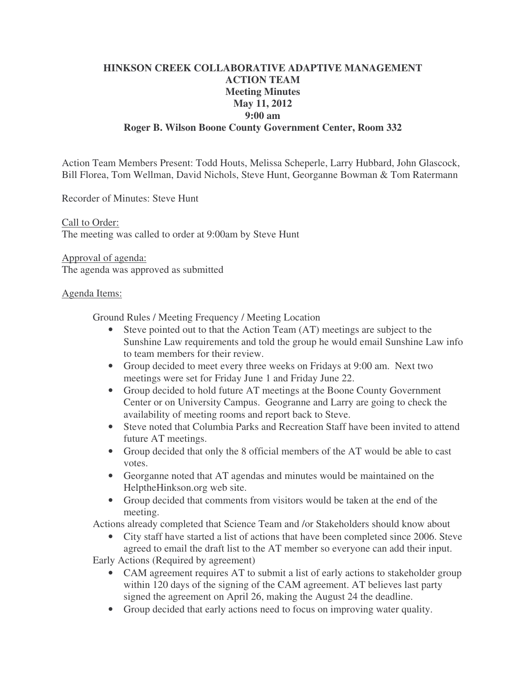# **HINKSON CREEK COLLABORATIVE ADAPTIVE MANAGEMENT ACTION TEAM Meeting Minutes May 11, 2012 9:00 am Roger B. Wilson Boone County Government Center, Room 332**

Action Team Members Present: Todd Houts, Melissa Scheperle, Larry Hubbard, John Glascock, Bill Florea, Tom Wellman, David Nichols, Steve Hunt, Georganne Bowman & Tom Ratermann

Recorder of Minutes: Steve Hunt

Call to Order: The meeting was called to order at 9:00am by Steve Hunt

Approval of agenda: The agenda was approved as submitted

### Agenda Items:

Ground Rules / Meeting Frequency / Meeting Location

- Steve pointed out to that the Action Team (AT) meetings are subject to the Sunshine Law requirements and told the group he would email Sunshine Law info to team members for their review.
- Group decided to meet every three weeks on Fridays at 9:00 am. Next two meetings were set for Friday June 1 and Friday June 22.
- Group decided to hold future AT meetings at the Boone County Government Center or on University Campus. Geogranne and Larry are going to check the availability of meeting rooms and report back to Steve.
- Steve noted that Columbia Parks and Recreation Staff have been invited to attend future AT meetings.
- Group decided that only the 8 official members of the AT would be able to cast votes.
- Georganne noted that AT agendas and minutes would be maintained on the HelptheHinkson.org web site.
- Group decided that comments from visitors would be taken at the end of the meeting.

Actions already completed that Science Team and /or Stakeholders should know about

• City staff have started a list of actions that have been completed since 2006. Steve agreed to email the draft list to the AT member so everyone can add their input.

Early Actions (Required by agreement)

- CAM agreement requires AT to submit a list of early actions to stakeholder group within 120 days of the signing of the CAM agreement. AT believes last party signed the agreement on April 26, making the August 24 the deadline.
- Group decided that early actions need to focus on improving water quality.